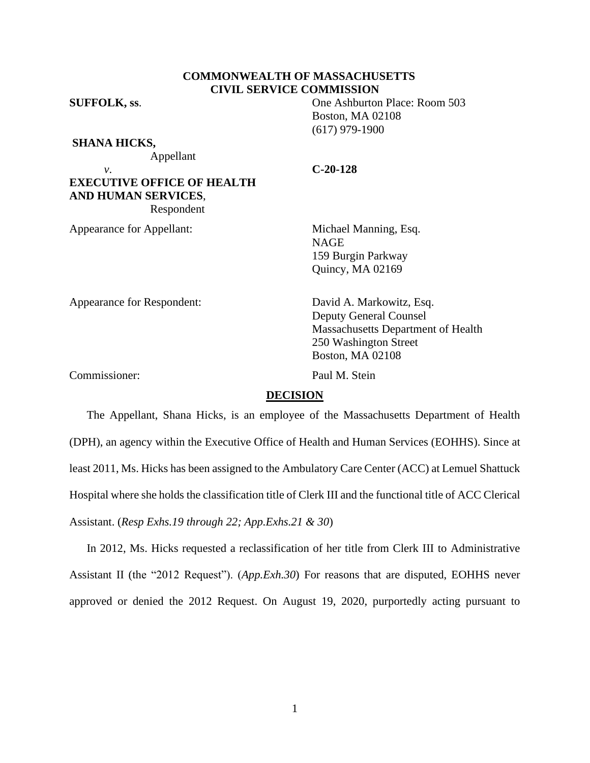# **COMMONWEALTH OF MASSACHUSETTS CIVIL SERVICE COMMISSION**

**SUFFOLK, ss**. One Ashburton Place: Room 503

**SHANA HICKS,**

Appellant

*v*. **C-20-128**

Boston, MA 02108 (617) 979-1900

**EXECUTIVE OFFICE OF HEALTH AND HUMAN SERVICES**, Respondent

Appearance for Appellant: Michael Manning, Esq.

NAGE 159 Burgin Parkway Quincy, MA 02169

Appearance for Respondent: David A. Markowitz, Esq.

Deputy General Counsel Massachusetts Department of Health 250 Washington Street Boston, MA 02108

Commissioner: Paul M. Stein

### **DECISION**

The Appellant, Shana Hicks, is an employee of the Massachusetts Department of Health (DPH), an agency within the Executive Office of Health and Human Services (EOHHS). Since at least 2011, Ms. Hicks has been assigned to the Ambulatory Care Center (ACC) at Lemuel Shattuck Hospital where she holds the classification title of Clerk III and the functional title of ACC Clerical Assistant. (*Resp Exhs.19 through 22; App.Exhs.21 & 30*)

In 2012, Ms. Hicks requested a reclassification of her title from Clerk III to Administrative Assistant II (the "2012 Request"). (*App.Exh.30*) For reasons that are disputed, EOHHS never approved or denied the 2012 Request. On August 19, 2020, purportedly acting pursuant to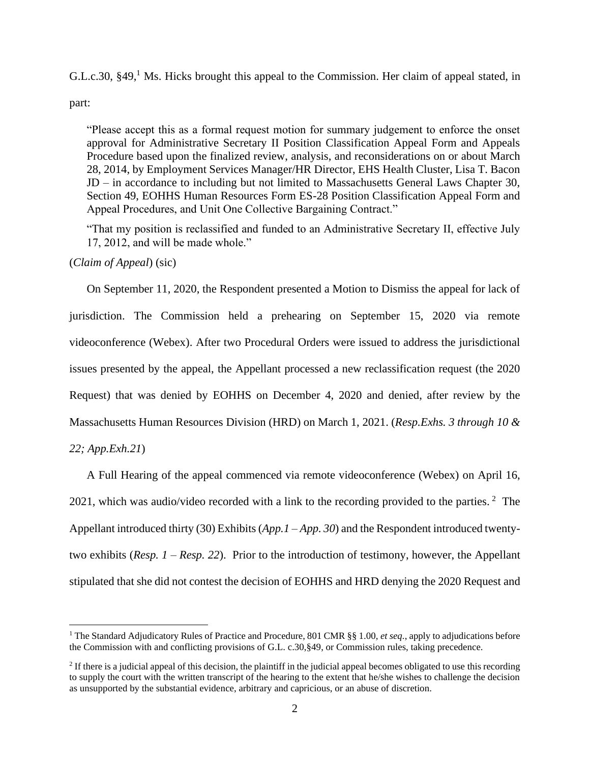G.L.c.30,  $\S 49$ , Ms. Hicks brought this appeal to the Commission. Her claim of appeal stated, in

part:

"Please accept this as a formal request motion for summary judgement to enforce the onset approval for Administrative Secretary II Position Classification Appeal Form and Appeals Procedure based upon the finalized review, analysis, and reconsiderations on or about March 28, 2014, by Employment Services Manager/HR Director, EHS Health Cluster, Lisa T. Bacon JD – in accordance to including but not limited to Massachusetts General Laws Chapter 30, Section 49, EOHHS Human Resources Form ES-28 Position Classification Appeal Form and Appeal Procedures, and Unit One Collective Bargaining Contract."

"That my position is reclassified and funded to an Administrative Secretary II, effective July 17, 2012, and will be made whole."

# (*Claim of Appeal*) (sic)

On September 11, 2020, the Respondent presented a Motion to Dismiss the appeal for lack of jurisdiction. The Commission held a prehearing on September 15, 2020 via remote videoconference (Webex). After two Procedural Orders were issued to address the jurisdictional issues presented by the appeal, the Appellant processed a new reclassification request (the 2020 Request) that was denied by EOHHS on December 4, 2020 and denied, after review by the Massachusetts Human Resources Division (HRD) on March 1, 2021. (*Resp.Exhs. 3 through 10 & 22; App.Exh.21*)

A Full Hearing of the appeal commenced via remote videoconference (Webex) on April 16, 2021, which was audio/video recorded with a link to the recording provided to the parties.<sup>2</sup> The Appellant introduced thirty (30) Exhibits (*App.1 – App. 30*) and the Respondent introduced twentytwo exhibits (*Resp. 1 – Resp. 22*). Prior to the introduction of testimony, however, the Appellant stipulated that she did not contest the decision of EOHHS and HRD denying the 2020 Request and

<sup>1</sup> The Standard Adjudicatory Rules of Practice and Procedure, 801 CMR §§ 1.00, *et seq.*, apply to adjudications before the Commission with and conflicting provisions of G.L. c.30,§49, or Commission rules, taking precedence.

 $2$  If there is a judicial appeal of this decision, the plaintiff in the judicial appeal becomes obligated to use this recording to supply the court with the written transcript of the hearing to the extent that he/she wishes to challenge the decision as unsupported by the substantial evidence, arbitrary and capricious, or an abuse of discretion.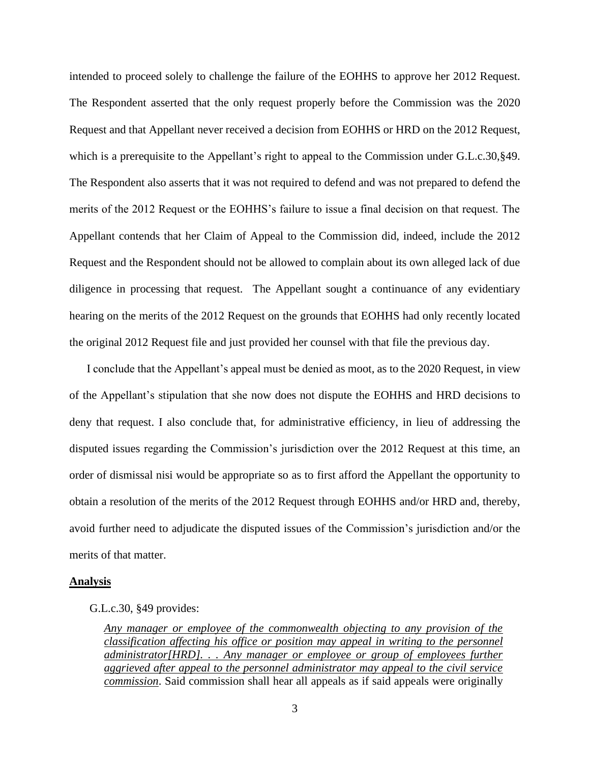intended to proceed solely to challenge the failure of the EOHHS to approve her 2012 Request. The Respondent asserted that the only request properly before the Commission was the 2020 Request and that Appellant never received a decision from EOHHS or HRD on the 2012 Request, which is a prerequisite to the Appellant's right to appeal to the Commission under G.L.c.30, §49. The Respondent also asserts that it was not required to defend and was not prepared to defend the merits of the 2012 Request or the EOHHS's failure to issue a final decision on that request. The Appellant contends that her Claim of Appeal to the Commission did, indeed, include the 2012 Request and the Respondent should not be allowed to complain about its own alleged lack of due diligence in processing that request. The Appellant sought a continuance of any evidentiary hearing on the merits of the 2012 Request on the grounds that EOHHS had only recently located the original 2012 Request file and just provided her counsel with that file the previous day.

I conclude that the Appellant's appeal must be denied as moot, as to the 2020 Request, in view of the Appellant's stipulation that she now does not dispute the EOHHS and HRD decisions to deny that request. I also conclude that, for administrative efficiency, in lieu of addressing the disputed issues regarding the Commission's jurisdiction over the 2012 Request at this time, an order of dismissal nisi would be appropriate so as to first afford the Appellant the opportunity to obtain a resolution of the merits of the 2012 Request through EOHHS and/or HRD and, thereby, avoid further need to adjudicate the disputed issues of the Commission's jurisdiction and/or the merits of that matter.

### **Analysis**

### G.L.c.30, §49 provides:

*Any manager or employee of the commonwealth objecting to any provision of the classification affecting his office or position may appeal in writing to the personnel administrator[HRD]. . . Any manager or employee or group of employees further aggrieved after appeal to the personnel administrator may appeal to the civil service commission*. Said commission shall hear all appeals as if said appeals were originally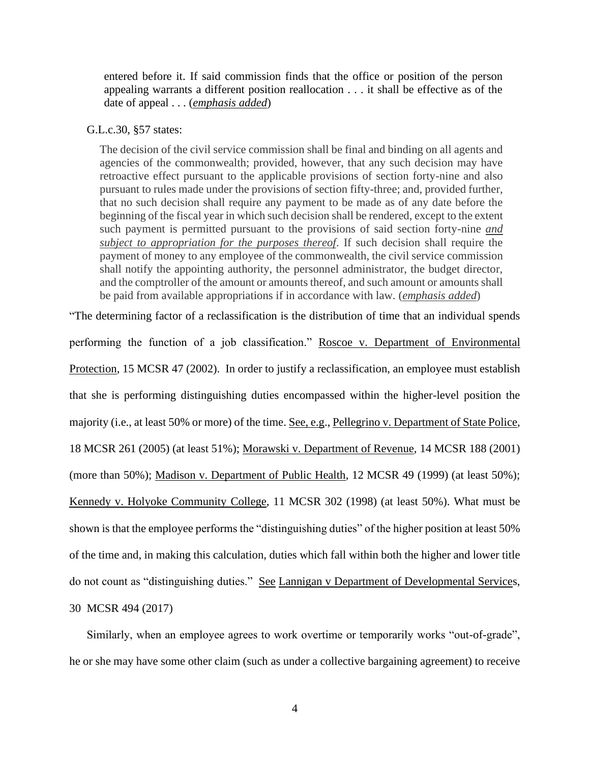entered before it. If said commission finds that the office or position of the person appealing warrants a different position reallocation . . . it shall be effective as of the date of appeal . . . (*emphasis added*)

### G.L.c.30, §57 states:

The decision of the civil service commission shall be final and binding on all agents and agencies of the commonwealth; provided, however, that any such decision may have retroactive effect pursuant to the applicable provisions of section forty-nine and also pursuant to rules made under the provisions of section fifty-three; and, provided further, that no such decision shall require any payment to be made as of any date before the beginning of the fiscal year in which such decision shall be rendered, except to the extent such payment is permitted pursuant to the provisions of said section forty-nine *and subject to appropriation for the purposes thereof*. If such decision shall require the payment of money to any employee of the commonwealth, the civil service commission shall notify the appointing authority, the personnel administrator, the budget director, and the comptroller of the amount or amounts thereof, and such amount or amounts shall be paid from available appropriations if in accordance with law. (*emphasis added*)

"The determining factor of a reclassification is the distribution of time that an individual spends performing the function of a job classification." Roscoe v. Department of Environmental Protection, 15 MCSR 47 (2002). In order to justify a reclassification, an employee must establish that she is performing distinguishing duties encompassed within the higher-level position the majority (i.e., at least 50% or more) of the time. See, e.g., Pellegrino v. Department of State Police, 18 MCSR 261 (2005) (at least 51%); Morawski v. Department of Revenue, 14 MCSR 188 (2001) (more than 50%); Madison v. Department of Public Health, 12 MCSR 49 (1999) (at least 50%); Kennedy v. Holyoke Community College, 11 MCSR 302 (1998) (at least 50%). What must be shown is that the employee performs the "distinguishing duties" of the higher position at least 50% of the time and, in making this calculation, duties which fall within both the higher and lower title do not count as "distinguishing duties." See Lannigan v Department of Developmental Services, 30 MCSR 494 (2017)

Similarly, when an employee agrees to work overtime or temporarily works "out-of-grade", he or she may have some other claim (such as under a collective bargaining agreement) to receive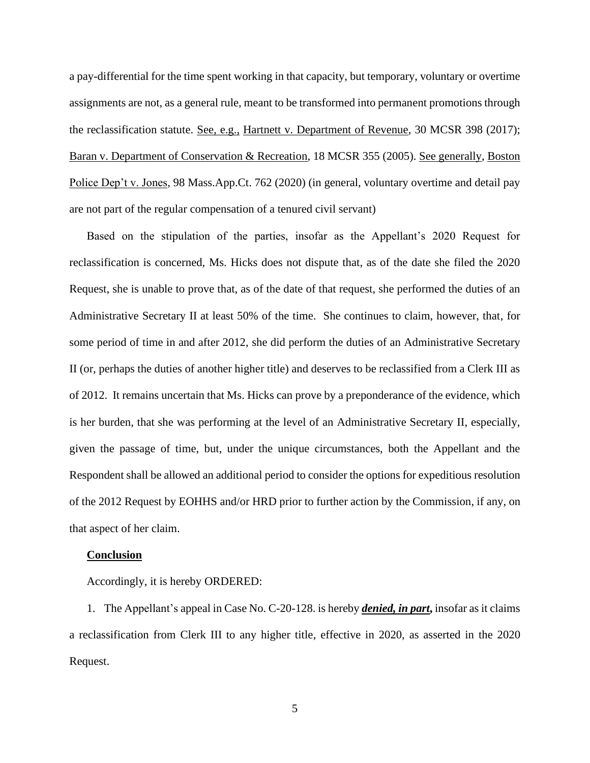a pay-differential for the time spent working in that capacity, but temporary, voluntary or overtime assignments are not, as a general rule, meant to be transformed into permanent promotions through the reclassification statute. See, e.g., Hartnett v. Department of Revenue, 30 MCSR 398 (2017); Baran v. Department of Conservation & Recreation, 18 MCSR 355 (2005). See generally, Boston Police Dep't v. Jones, 98 Mass.App.Ct. 762 (2020) (in general, voluntary overtime and detail pay are not part of the regular compensation of a tenured civil servant)

Based on the stipulation of the parties, insofar as the Appellant's 2020 Request for reclassification is concerned, Ms. Hicks does not dispute that, as of the date she filed the 2020 Request, she is unable to prove that, as of the date of that request, she performed the duties of an Administrative Secretary II at least 50% of the time. She continues to claim, however, that, for some period of time in and after 2012, she did perform the duties of an Administrative Secretary II (or, perhaps the duties of another higher title) and deserves to be reclassified from a Clerk III as of 2012. It remains uncertain that Ms. Hicks can prove by a preponderance of the evidence, which is her burden, that she was performing at the level of an Administrative Secretary II, especially, given the passage of time, but, under the unique circumstances, both the Appellant and the Respondent shall be allowed an additional period to consider the options for expeditious resolution of the 2012 Request by EOHHS and/or HRD prior to further action by the Commission, if any, on that aspect of her claim.

#### **Conclusion**

Accordingly, it is hereby ORDERED:

1. The Appellant's appeal in Case No. C-20-128. is hereby *denied, in part***,** insofar as it claims a reclassification from Clerk III to any higher title, effective in 2020, as asserted in the 2020 Request.

5